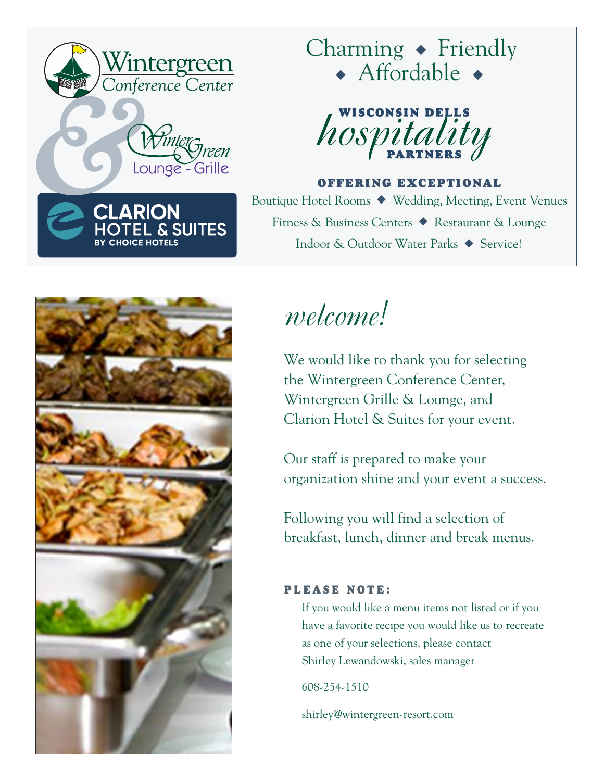

## Charming **◆** Friendly **◆** Affordable **◆**



**OFFERING EXCEPTIONAL**

Boutique Hotel Rooms **◆** Wedding, Meeting, Event Venues Fitness & Business Centers **◆** Restaurant & Lounge Indoor & Outdoor Water Parks **◆** Service!



# *welcome!*

We would like to thank you for selecting the Wintergreen Conference Center, Wintergreen Grille & Lounge, and Clarion Hotel & Suites for your event.

Our staff is prepared to make your organization shine and your event a success.

Following you will find a selection of breakfast, lunch, dinner and break menus.

### **P L E A S E N O T E :**

If you would like a menu items not listed or if you have a favorite recipe you would like us to recreate as one of your selections, please contact Shirley Lewandowski, sales manager

608-254-1510

shirley@wintergreen-resort.com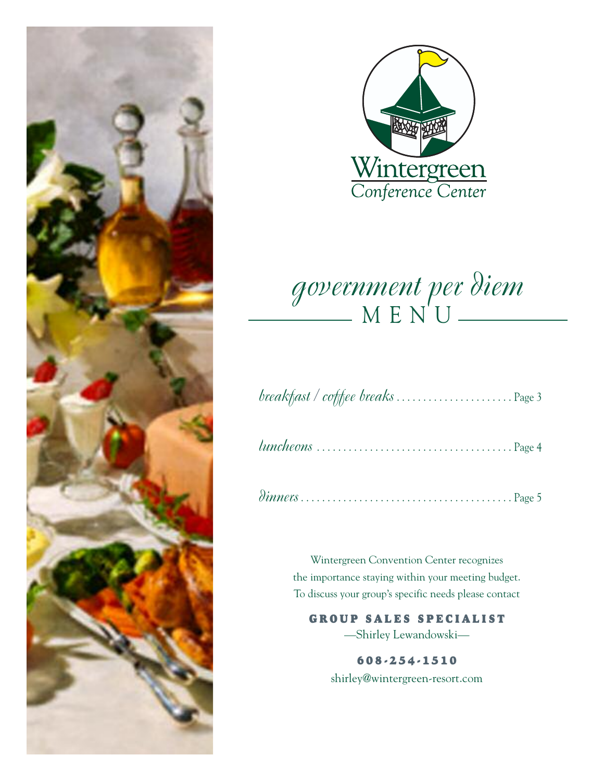



## *government per diem*  $M E N' U$

|--|--|--|--|--|

|--|--|--|--|

|--|--|--|--|--|--|--|--|--|--|--|--|--|--|--|--|--|--|--|--|--|--|--|--|--|--|--|--|--|--|--|--|--|--|--|--|--|--|--|--|--|

Wintergreen Convention Center recognizes the importance staying within your meeting budget. To discuss your group's specific needs please contact

### **G R O U P S A L E S S P E C I A L I S T**

—Shirley Lewandowski—

**6 0 8 - 2 5 4 - 1 5 1 0** shirley@wintergreen-resort.com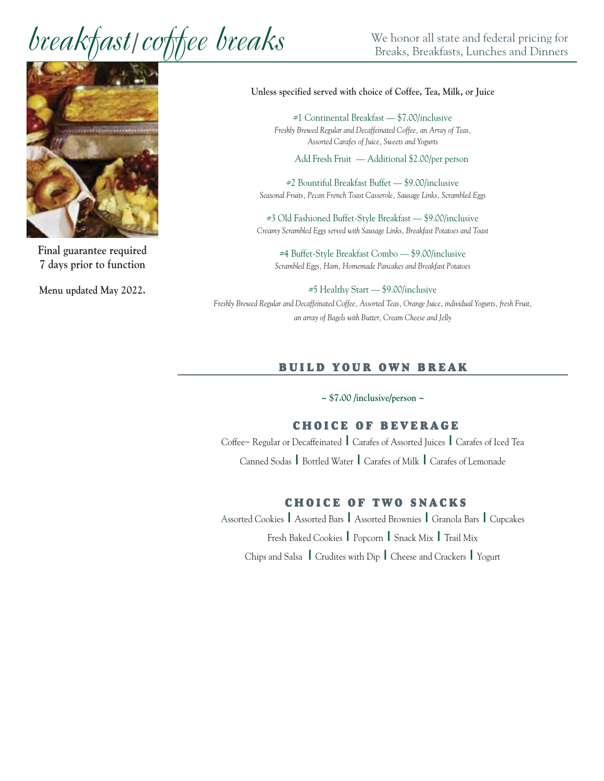# $break$  **break fast | coffee breaks**  $\frac{1}{\text{Breaks}}$   $\frac{1}{\text{Breaks}}$  *reakfasts*, Lunches and Dinners



**Final guarantee required 7 days prior to function**

**Menu updated May 2022.**

#### **Unless specified served with choice of Coffee, Tea, Milk, or Juice**

#1 Continental Breakfast — \$7.00/inclusive *Freshly Brewed Regular and Decaffeinated Coffee, an Array of Teas, Assorted Carafes of Juice, Sweets and Yogurts*

Add Fresh Fruit — Additional \$2.00/per person

#2 Bountiful Breakfast Buffet — \$9.00/inclusive *Seasonal Fruits, Pecan French Toast Casserole, Sausage Links, Scrambled Eggs*

#3 Old Fashioned Buffet-Style Breakfast — \$9.00/inclusive *Creamy Scrambled Eggs served with Sausage Links, Breakfast Potatoes and Toast*

#4 Buffet-Style Breakfast Combo — \$9.00/inclusive *Scrambled Eggs, Ham, Homemade Pancakes and Breakfast Potatoes*

#5 Healthy Start — \$9.00/inclusive *Freshly Brewed Regular and Decaffeinated Coffee, Assorted Teas, Orange Juice, individual Yogurts, fresh Fruit, an array of Bagels with Butter, Cream Cheese and Jelly*

#### **B U I L D Y O U R O W N B R E A K**

**~ \$7.00 /inclusive/person ~**

#### **C H O I C E O F B E V E R A G E**

Coffee~ Regular or Decaffeinated **|** Carafes of Assorted Juices **|** Carafes of Iced Tea Canned Sodas **|** Bottled Water **|** Carafes of Milk **|** Carafes of Lemonade

#### **C H O I C E O F T W O S N A C K S**

Assorted Cookies **|** Assorted Bars **|** Assorted Brownies **|** Granola Bars **|** Cupcakes Fresh Baked Cookies **|** Popcorn **|** Snack Mix **|** Trail Mix Chips and Salsa **|** Crudites with Dip **|** Cheese and Crackers **|** Yogurt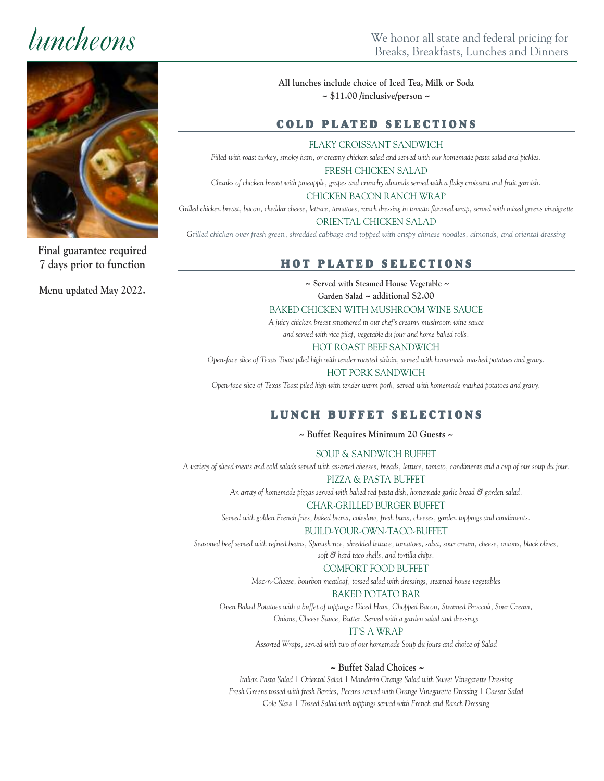

**Final guarantee required 7 days prior to function**

**Menu updated May 2022.**

**All lunches include choice of Iced Tea, Milk or Soda ~ \$11.00 /inclusive/person ~**

#### $C$  **OLD PLATED SELECTIONS**

FLAKY CROISSANT SANDWICH

Filled with roast turkey, smoky ham, or creamy chicken salad and served with our homemade pasta salad and pickles.

FRESH CHICKEN SALAD Chunks of chicken breast with pineapple, grapes and crunchy almonds served with a flaky croissant and fruit garnish.

#### CHICKEN BACON RANCH WRAP

Grilled chicken breast, bacon, cheddar cheese, lettuce, tomatoes, ranch dressing in tomato flavored wrap, served with mixed greens vinaigrette ORIENTAL CHICKEN SALAD

Grilled chicken over fresh green, shredded cabbage and topped with crispy chinese noodles, almonds, and oriental dressing

### **H O T P L AT E D S E L E C T I O N S**

**~ Served with Steamed House Vegetable ~**

**Garden Salad ~ additional \$2.00**

#### BAKED CHICKEN WITH MUSHROOM WINE SAUCE

*A juicy chicken breast smothered in our chef's creamy mushroom wine sauce and served with rice pilaf, vegetable du jour and home baked rolls.*

HOT ROAST BEEF SANDWICH

Open-face slice of Texas Toast piled high with tender roasted sirloin, served with homemade mashed potatoes and gravy.

#### HOT PORK SANDWICH

Open-face slice of Texas Toast piled high with tender warm pork, served with homemade mashed potatoes and gravy.

#### $L$  **UNCH BUFFET SELECTIONS**

**~ Buffet Requires Minimum 20 Guests ~**

SOUP & SANDWICH BUFFET

A variety of sliced meats and cold salads served with assorted cheeses, breads, lettuce, tomato, condiments and a cup of our soup du jour.

PIZZA & PASTA BUFFET

*An array of homemade pizzas served with baked red pasta dish, homemade garlic bread & garden salad.*

#### CHAR-GRILLED BURGER BUFFET

*Served with golden French fries, baked beans, coleslaw, fresh buns, cheeses, garden toppings and condiments.*

#### BUILD-YOUR-OWN-TACO-BUFFET

Seasoned beef served with refried beans, Spanish rice, shredded lettuce, tomatoes, salsa, sour cream, cheese, onions, black olives, *soft & hard taco shells, and tortilla chips.*

#### COMFORT FOOD BUFFET

*Mac-n-Cheese, bourbon meatloaf, tossed salad with dressings, steamed house vegetables*

#### BAKED POTATO BAR

*Oven Baked Potatoes with a buffet of toppings: Diced Ham, Chopped Bacon, Steamed Broccoli, Sour Cream,*

*Onions, Cheese Sauce, Butter. Served with a garden salad and dressings*

#### IT'S A WRAP

*Assorted Wraps, served with two of our homemade Soup du jours and choice of Salad*

#### **~ Buffet Salad Choices ~**

*Italian Pasta Salad | Oriental Salad | Mandarin Orange Salad with Sweet Vinegarette Dressing Fresh Greens tossed with fresh Berries, Pecans served with Orange Vinegarette Dressing | Caesar Salad Cole Slaw | Tossed Salad with toppings served with French and Ranch Dressing*